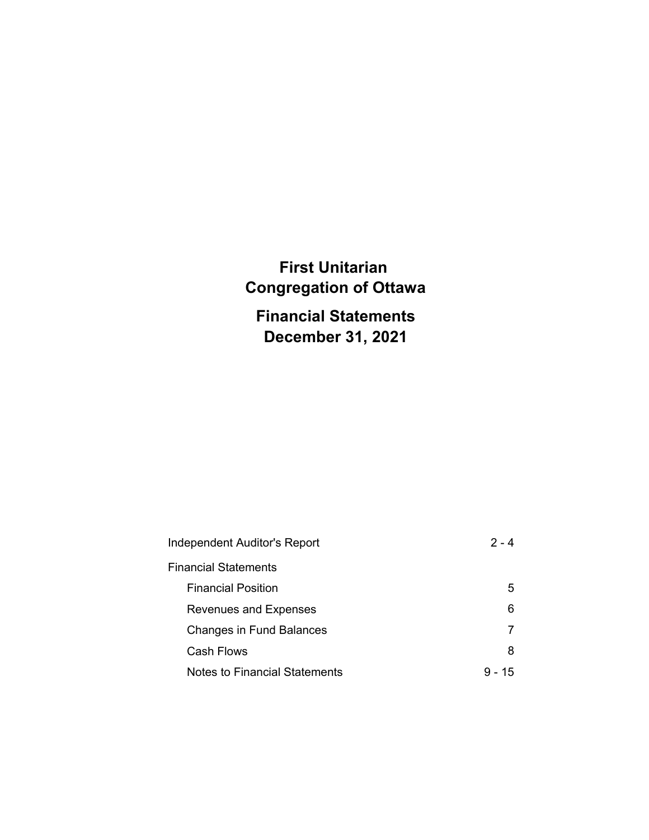# **First Unitarian Congregation of Ottawa Financial Statements December 31, 2021**

| <b>Independent Auditor's Report</b> | $2 - 4$ |
|-------------------------------------|---------|
| Financial Statements                |         |
| <b>Financial Position</b>           | 5       |
| <b>Revenues and Expenses</b>        | 6       |
| <b>Changes in Fund Balances</b>     |         |
| Cash Flows                          | 8       |
| Notes to Financial Statements       | 15      |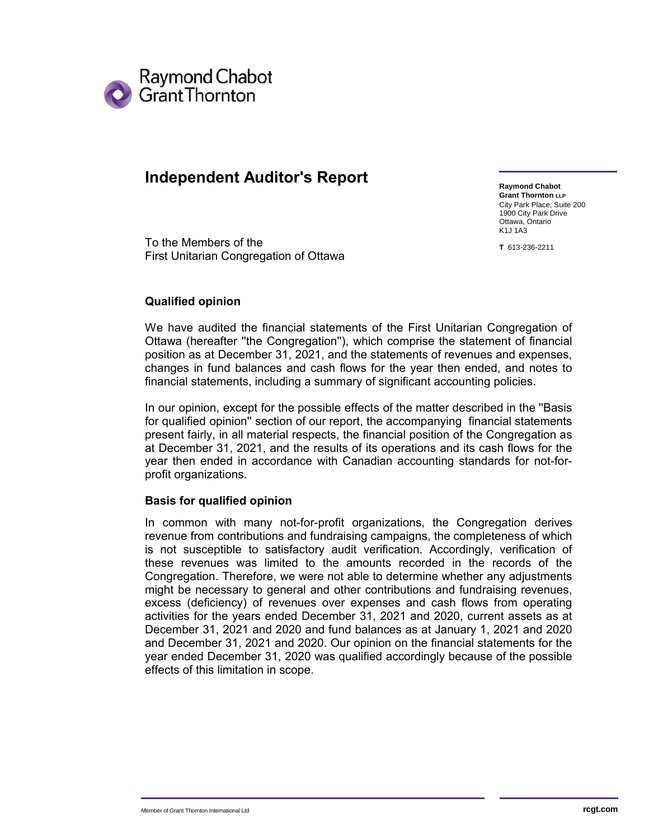

# **Independent Auditor's Report**

**Raymond Chabot Grant Thornton LLP** City Park Place, Suite 200 1900 City Park Drive Ottawa, Ontario K1J 1A3

**T** 613-236-2211

To the Members of the First Unitarian Congregation of Ottawa

# **Qualified opinion**

We have audited the financial statements of the First Unitarian Congregation of Ottawa (hereafter ''the Congregation''), which comprise the statement of financial position as at December 31, 2021, and the statements of revenues and expenses, changes in fund balances and cash flows for the year then ended, and notes to financial statements, including a summary of significant accounting policies.

In our opinion, except for the possible effects of the matter described in the ''Basis for qualified opinion'' section of our report, the accompanying financial statements present fairly, in all material respects, the financial position of the Congregation as at December 31, 2021, and the results of its operations and its cash flows for the year then ended in accordance with Canadian accounting standards for not-forprofit organizations.

# **Basis for qualified opinion**

In common with many not-for-profit organizations, the Congregation derives revenue from contributions and fundraising campaigns, the completeness of which is not susceptible to satisfactory audit verification. Accordingly, verification of these revenues was limited to the amounts recorded in the records of the Congregation. Therefore, we were not able to determine whether any adjustments might be necessary to general and other contributions and fundraising revenues, excess (deficiency) of revenues over expenses and cash flows from operating activities for the years ended December 31, 2021 and 2020, current assets as at December 31, 2021 and 2020 and fund balances as at January 1, 2021 and 2020 and December 31, 2021 and 2020. Our opinion on the financial statements for the year ended December 31, 2020 was qualified accordingly because of the possible effects of this limitation in scope.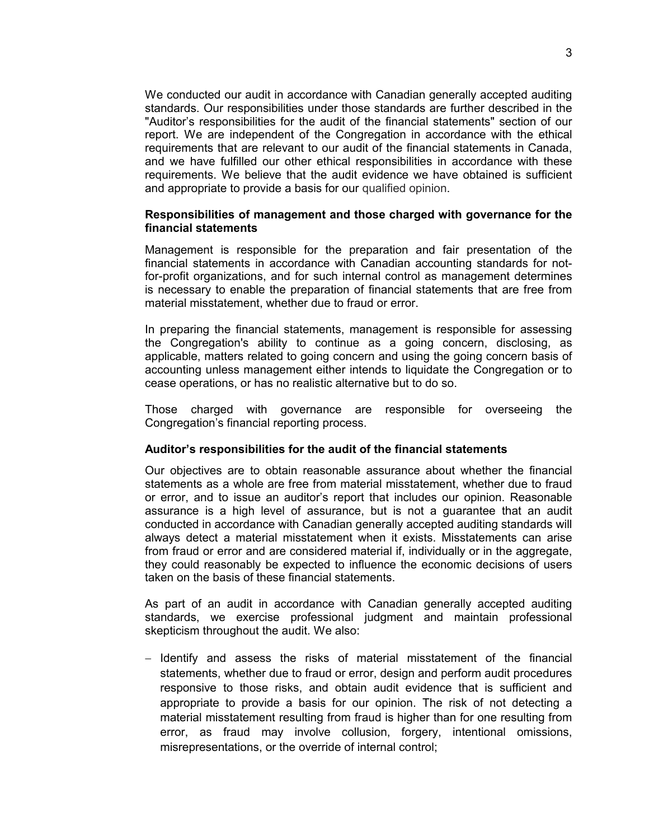We conducted our audit in accordance with Canadian generally accepted auditing standards. Our responsibilities under those standards are further described in the "Auditor's responsibilities for the audit of the financial statements" section of our report. We are independent of the Congregation in accordance with the ethical requirements that are relevant to our audit of the financial statements in Canada, and we have fulfilled our other ethical responsibilities in accordance with these requirements. We believe that the audit evidence we have obtained is sufficient and appropriate to provide a basis for our qualified opinion.

# **Responsibilities of management and those charged with governance for the financial statements**

Management is responsible for the preparation and fair presentation of the financial statements in accordance with Canadian accounting standards for notfor-profit organizations, and for such internal control as management determines is necessary to enable the preparation of financial statements that are free from material misstatement, whether due to fraud or error.

In preparing the financial statements, management is responsible for assessing the Congregation's ability to continue as a going concern, disclosing, as applicable, matters related to going concern and using the going concern basis of accounting unless management either intends to liquidate the Congregation or to cease operations, or has no realistic alternative but to do so.

Those charged with governance are responsible for overseeing the Congregation's financial reporting process.

# **Auditor's responsibilities for the audit of the financial statements**

Our objectives are to obtain reasonable assurance about whether the financial statements as a whole are free from material misstatement, whether due to fraud or error, and to issue an auditor's report that includes our opinion. Reasonable assurance is a high level of assurance, but is not a guarantee that an audit conducted in accordance with Canadian generally accepted auditing standards will always detect a material misstatement when it exists. Misstatements can arise from fraud or error and are considered material if, individually or in the aggregate, they could reasonably be expected to influence the economic decisions of users taken on the basis of these financial statements.

As part of an audit in accordance with Canadian generally accepted auditing standards, we exercise professional judgment and maintain professional skepticism throughout the audit. We also:

- Identify and assess the risks of material misstatement of the financial statements, whether due to fraud or error, design and perform audit procedures responsive to those risks, and obtain audit evidence that is sufficient and appropriate to provide a basis for our opinion. The risk of not detecting a material misstatement resulting from fraud is higher than for one resulting from error, as fraud may involve collusion, forgery, intentional omissions, misrepresentations, or the override of internal control;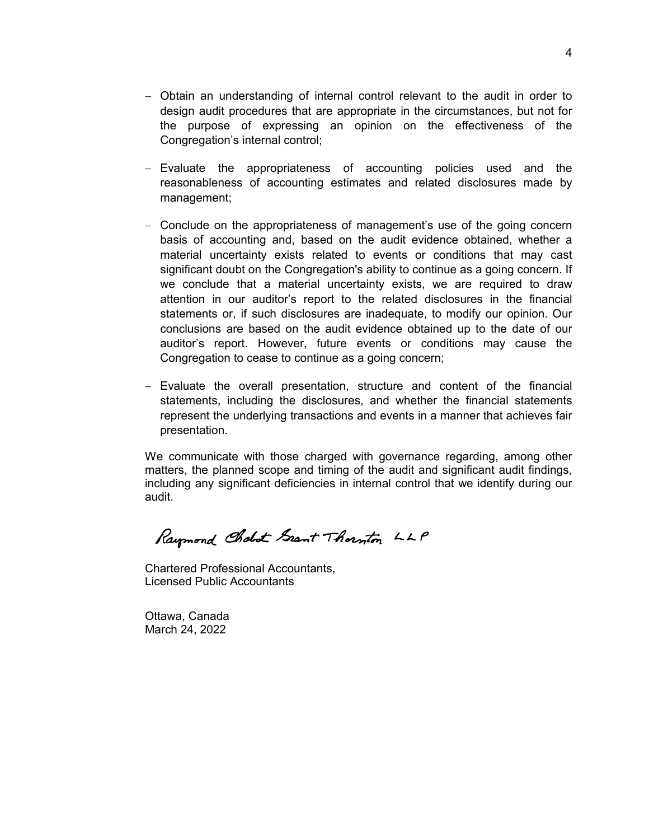- Obtain an understanding of internal control relevant to the audit in order to design audit procedures that are appropriate in the circumstances, but not for the purpose of expressing an opinion on the effectiveness of the Congregation's internal control;
- Evaluate the appropriateness of accounting policies used and the reasonableness of accounting estimates and related disclosures made by management;
- Conclude on the appropriateness of management's use of the going concern basis of accounting and, based on the audit evidence obtained, whether a material uncertainty exists related to events or conditions that may cast significant doubt on the Congregation's ability to continue as a going concern. If we conclude that a material uncertainty exists, we are required to draw attention in our auditor's report to the related disclosures in the financial statements or, if such disclosures are inadequate, to modify our opinion. Our conclusions are based on the audit evidence obtained up to the date of our auditor's report. However, future events or conditions may cause the Congregation to cease to continue as a going concern;
- Evaluate the overall presentation, structure and content of the financial statements, including the disclosures, and whether the financial statements represent the underlying transactions and events in a manner that achieves fair presentation.

We communicate with those charged with governance regarding, among other matters, the planned scope and timing of the audit and significant audit findings, including any significant deficiencies in internal control that we identify during our audit.

Raymond Cholot Grant Thornton LLP

Chartered Professional Accountants, Licensed Public Accountants

Ottawa, Canada March 24, 2022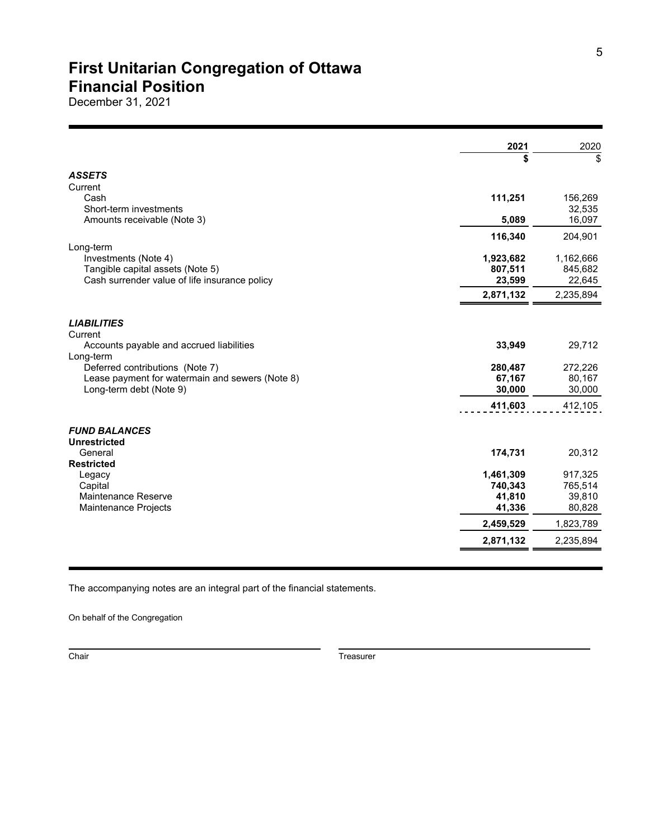# **First Unitarian Congregation of Ottawa Financial Position**

December 31, 2021

|                                                 | 2021      | 2020      |
|-------------------------------------------------|-----------|-----------|
|                                                 | \$        | \$        |
| <b>ASSETS</b>                                   |           |           |
| Current                                         |           |           |
| Cash                                            | 111,251   | 156,269   |
| Short-term investments                          |           | 32,535    |
| Amounts receivable (Note 3)                     | 5,089     | 16,097    |
|                                                 | 116,340   | 204,901   |
| Long-term                                       |           |           |
| Investments (Note 4)                            | 1,923,682 | 1,162,666 |
| Tangible capital assets (Note 5)                | 807,511   | 845,682   |
| Cash surrender value of life insurance policy   | 23,599    | 22,645    |
|                                                 | 2,871,132 | 2,235,894 |
|                                                 |           |           |
| <b>LIABILITIES</b>                              |           |           |
| Current                                         |           |           |
| Accounts payable and accrued liabilities        | 33,949    | 29,712    |
| Long-term<br>Deferred contributions (Note 7)    | 280,487   | 272,226   |
| Lease payment for watermain and sewers (Note 8) | 67,167    | 80,167    |
| Long-term debt (Note 9)                         | 30,000    | 30,000    |
|                                                 | 411,603   | 412,105   |
|                                                 |           |           |
| <b>FUND BALANCES</b>                            |           |           |
| <b>Unrestricted</b>                             |           |           |
| General                                         | 174,731   | 20,312    |
| <b>Restricted</b>                               |           |           |
| Legacy                                          | 1,461,309 | 917,325   |
| Capital                                         | 740,343   | 765,514   |
| <b>Maintenance Reserve</b>                      | 41,810    | 39,810    |
| Maintenance Projects                            | 41,336    | 80,828    |
|                                                 | 2,459,529 | 1,823,789 |
|                                                 | 2,871,132 | 2,235,894 |
|                                                 |           |           |

The accompanying notes are an integral part of the financial statements.

On behalf of the Congregation

Chair Treasurer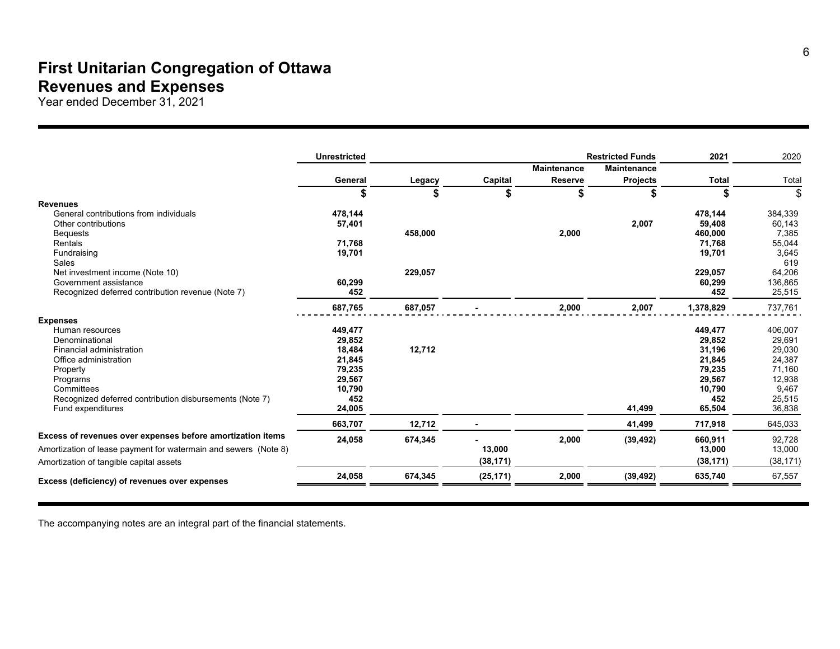# **First Unitarian Congregation of Ottawa Revenues and Expenses**

Year ended December 31, 2021

|                                                                 | <b>Unrestricted</b> |         |           |                    | <b>Restricted Funds</b> | 2021              | 2020          |
|-----------------------------------------------------------------|---------------------|---------|-----------|--------------------|-------------------------|-------------------|---------------|
|                                                                 |                     |         |           | <b>Maintenance</b> | <b>Maintenance</b>      |                   |               |
|                                                                 | General             | Legacy  | Capital   | Reserve            | <b>Projects</b>         | <b>Total</b>      | Total         |
|                                                                 |                     |         |           |                    | S                       |                   | \$            |
| <b>Revenues</b>                                                 |                     |         |           |                    |                         |                   |               |
| General contributions from individuals                          | 478,144             |         |           |                    |                         | 478,144           | 384,339       |
| Other contributions                                             | 57,401              |         |           |                    | 2,007                   | 59,408            | 60,143        |
| <b>Bequests</b>                                                 |                     | 458,000 |           | 2,000              |                         | 460,000           | 7,385         |
| Rentals                                                         | 71,768              |         |           |                    |                         | 71,768            | 55,044        |
| Fundraising                                                     | 19,701              |         |           |                    |                         | 19,701            | 3,645         |
| Sales                                                           |                     |         |           |                    |                         |                   | 619<br>64,206 |
| Net investment income (Note 10)<br>Government assistance        | 60,299              | 229,057 |           |                    |                         | 229,057<br>60,299 | 136,865       |
| Recognized deferred contribution revenue (Note 7)               | 452                 |         |           |                    |                         | 452               | 25,515        |
|                                                                 |                     |         |           |                    |                         |                   |               |
|                                                                 | 687,765             | 687,057 |           | 2,000              | 2,007                   | 1,378,829         | 737,761       |
| <b>Expenses</b>                                                 |                     |         |           |                    |                         |                   |               |
| Human resources                                                 | 449,477             |         |           |                    |                         | 449,477           | 406,007       |
| Denominational                                                  | 29,852              |         |           |                    |                         | 29,852            | 29,691        |
| Financial administration                                        | 18,484              | 12,712  |           |                    |                         | 31,196            | 29,030        |
| Office administration                                           | 21,845              |         |           |                    |                         | 21,845            | 24,387        |
| Property                                                        | 79,235              |         |           |                    |                         | 79,235            | 71,160        |
| Programs                                                        | 29,567              |         |           |                    |                         | 29,567            | 12,938        |
| Committees                                                      | 10,790              |         |           |                    |                         | 10,790            | 9,467         |
| Recognized deferred contribution disbursements (Note 7)         | 452                 |         |           |                    |                         | 452               | 25,515        |
| Fund expenditures                                               | 24,005              |         |           |                    | 41,499                  | 65,504            | 36,838        |
|                                                                 | 663,707             | 12,712  |           |                    | 41,499                  | 717,918           | 645,033       |
| Excess of revenues over expenses before amortization items      | 24,058              | 674,345 |           | 2,000              | (39, 492)               | 660.911           | 92,728        |
| Amortization of lease payment for watermain and sewers (Note 8) |                     |         | 13,000    |                    |                         | 13,000            | 13,000        |
| Amortization of tangible capital assets                         |                     |         | (38, 171) |                    |                         | (38, 171)         | (38, 171)     |
| Excess (deficiency) of revenues over expenses                   | 24,058              | 674,345 | (25, 171) | 2,000              | (39, 492)               | 635,740           | 67,557        |

The accompanying notes are an integral part of the financial statements.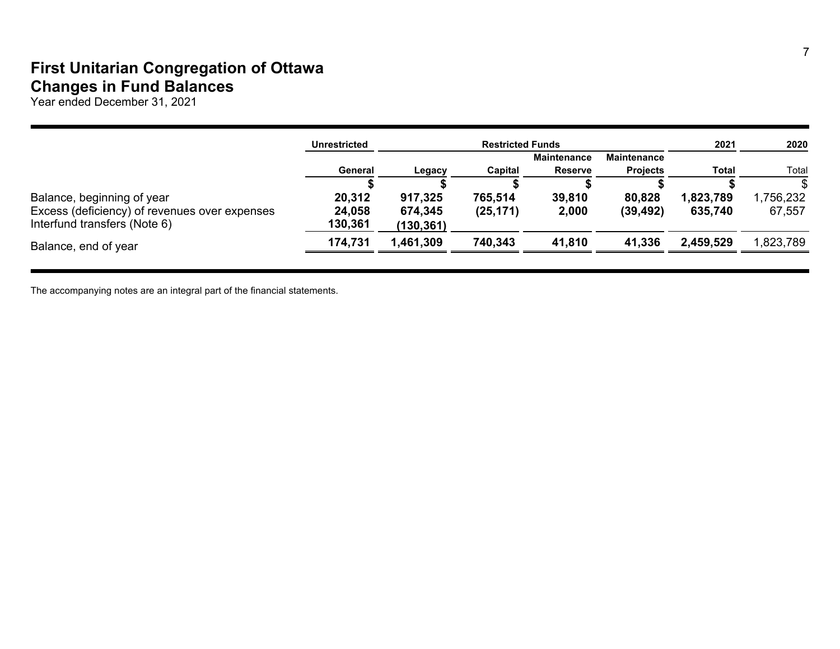# **First Unitarian Congregation of Ottawa Changes in Fund Balances**

Year ended December 31, 2021

|                                                                               | <b>Unrestricted</b> |                       | <b>Restricted Funds</b> |                                      |                                       | 2021      | 2020      |
|-------------------------------------------------------------------------------|---------------------|-----------------------|-------------------------|--------------------------------------|---------------------------------------|-----------|-----------|
|                                                                               | General             | Legacy                | Capital                 | <b>Maintenance</b><br><b>Reserve</b> | <b>Maintenance</b><br><b>Projects</b> | Total     | Total     |
|                                                                               |                     |                       |                         |                                      |                                       |           |           |
| Balance, beginning of year                                                    | 20,312              | 917,325               | 765,514                 | 39,810                               | 80,828                                | 1,823,789 | 1,756,232 |
| Excess (deficiency) of revenues over expenses<br>Interfund transfers (Note 6) | 24,058<br>130,361   | 674,345<br>(130, 361) | (25, 171)               | 2,000                                | (39, 492)                             | 635,740   | 67,557    |
| Balance, end of year                                                          | 174,731             | 1,461,309             | 740,343                 | 41,810                               | 41,336                                | 2,459,529 | 823,789   |

The accompanying notes are an integral part of the financial statements.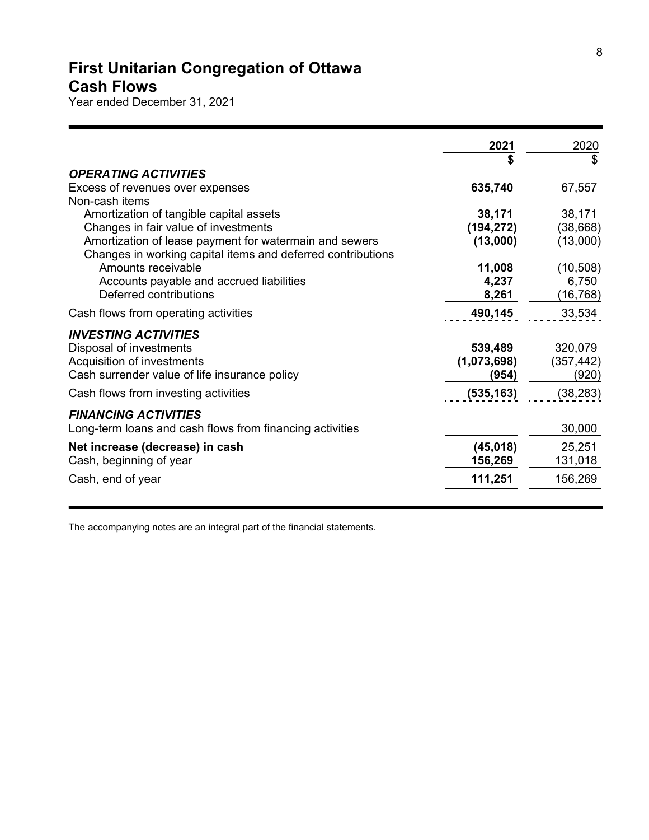# **First Unitarian Congregation of Ottawa Cash Flows**

Year ended December 31, 2021

|                                                                                                                                                                                                                                                                                                                        | 2021                                                         | 2020<br>\$                                                         |
|------------------------------------------------------------------------------------------------------------------------------------------------------------------------------------------------------------------------------------------------------------------------------------------------------------------------|--------------------------------------------------------------|--------------------------------------------------------------------|
| <b>OPERATING ACTIVITIES</b>                                                                                                                                                                                                                                                                                            |                                                              |                                                                    |
| Excess of revenues over expenses                                                                                                                                                                                                                                                                                       | 635,740                                                      | 67,557                                                             |
| Non-cash items<br>Amortization of tangible capital assets<br>Changes in fair value of investments<br>Amortization of lease payment for watermain and sewers<br>Changes in working capital items and deferred contributions<br>Amounts receivable<br>Accounts payable and accrued liabilities<br>Deferred contributions | 38,171<br>(194, 272)<br>(13,000)<br>11,008<br>4,237<br>8,261 | 38,171<br>(38, 668)<br>(13,000)<br>(10, 508)<br>6,750<br>(16, 768) |
| Cash flows from operating activities                                                                                                                                                                                                                                                                                   | 490,145                                                      | 33,534                                                             |
| <b>INVESTING ACTIVITIES</b><br>Disposal of investments<br>Acquisition of investments<br>Cash surrender value of life insurance policy                                                                                                                                                                                  | 539,489<br>(1,073,698)<br>(954)                              | 320,079<br>(357, 442)<br>(920)                                     |
| Cash flows from investing activities                                                                                                                                                                                                                                                                                   | (535, 163)                                                   | (38, 283)                                                          |
| <b>FINANCING ACTIVITIES</b><br>Long-term loans and cash flows from financing activities                                                                                                                                                                                                                                |                                                              | 30,000                                                             |
| Net increase (decrease) in cash<br>Cash, beginning of year                                                                                                                                                                                                                                                             | (45, 018)<br>156,269                                         | 25,251<br>131,018                                                  |
| Cash, end of year                                                                                                                                                                                                                                                                                                      | 111,251                                                      | 156,269                                                            |
|                                                                                                                                                                                                                                                                                                                        |                                                              |                                                                    |

The accompanying notes are an integral part of the financial statements.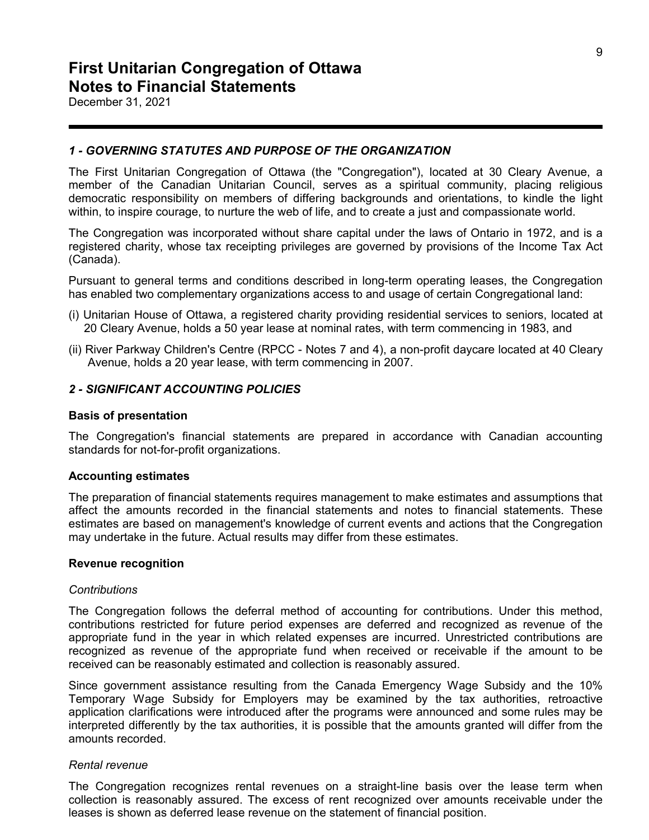December 31, 2021

# *1 - GOVERNING STATUTES AND PURPOSE OF THE ORGANIZATION*

The First Unitarian Congregation of Ottawa (the "Congregation"), located at 30 Cleary Avenue, a member of the Canadian Unitarian Council, serves as a spiritual community, placing religious democratic responsibility on members of differing backgrounds and orientations, to kindle the light within, to inspire courage, to nurture the web of life, and to create a just and compassionate world.

The Congregation was incorporated without share capital under the laws of Ontario in 1972, and is a registered charity, whose tax receipting privileges are governed by provisions of the Income Tax Act (Canada).

Pursuant to general terms and conditions described in long-term operating leases, the Congregation has enabled two complementary organizations access to and usage of certain Congregational land:

- (i) Unitarian House of Ottawa, a registered charity providing residential services to seniors, located at 20 Cleary Avenue, holds a 50 year lease at nominal rates, with term commencing in 1983, and
- (ii) River Parkway Children's Centre (RPCC Notes 7 and 4), a non-profit daycare located at 40 Cleary Avenue, holds a 20 year lease, with term commencing in 2007.

#### *2 - SIGNIFICANT ACCOUNTING POLICIES*

#### **Basis of presentation**

The Congregation's financial statements are prepared in accordance with Canadian accounting standards for not-for-profit organizations.

#### **Accounting estimates**

The preparation of financial statements requires management to make estimates and assumptions that affect the amounts recorded in the financial statements and notes to financial statements. These estimates are based on management's knowledge of current events and actions that the Congregation may undertake in the future. Actual results may differ from these estimates.

#### **Revenue recognition**

#### *Contributions*

The Congregation follows the deferral method of accounting for contributions. Under this method, contributions restricted for future period expenses are deferred and recognized as revenue of the appropriate fund in the year in which related expenses are incurred. Unrestricted contributions are recognized as revenue of the appropriate fund when received or receivable if the amount to be received can be reasonably estimated and collection is reasonably assured.

Since government assistance resulting from the Canada Emergency Wage Subsidy and the 10% Temporary Wage Subsidy for Employers may be examined by the tax authorities, retroactive application clarifications were introduced after the programs were announced and some rules may be interpreted differently by the tax authorities, it is possible that the amounts granted will differ from the amounts recorded.

#### *Rental revenue*

The Congregation recognizes rental revenues on a straight-line basis over the lease term when collection is reasonably assured. The excess of rent recognized over amounts receivable under the leases is shown as deferred lease revenue on the statement of financial position.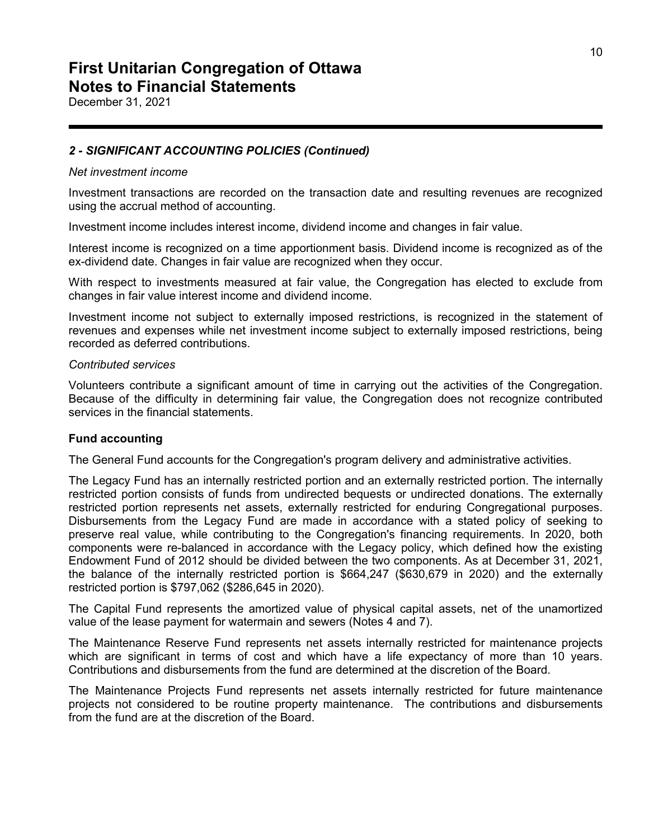December 31, 2021

# *2 - SIGNIFICANT ACCOUNTING POLICIES (Continued)*

#### *Net investment income*

Investment transactions are recorded on the transaction date and resulting revenues are recognized using the accrual method of accounting.

Investment income includes interest income, dividend income and changes in fair value.

Interest income is recognized on a time apportionment basis. Dividend income is recognized as of the ex-dividend date. Changes in fair value are recognized when they occur.

With respect to investments measured at fair value, the Congregation has elected to exclude from changes in fair value interest income and dividend income.

Investment income not subject to externally imposed restrictions, is recognized in the statement of revenues and expenses while net investment income subject to externally imposed restrictions, being recorded as deferred contributions.

#### *Contributed services*

Volunteers contribute a significant amount of time in carrying out the activities of the Congregation. Because of the difficulty in determining fair value, the Congregation does not recognize contributed services in the financial statements.

# **Fund accounting**

The General Fund accounts for the Congregation's program delivery and administrative activities.

The Legacy Fund has an internally restricted portion and an externally restricted portion. The internally restricted portion consists of funds from undirected bequests or undirected donations. The externally restricted portion represents net assets, externally restricted for enduring Congregational purposes. Disbursements from the Legacy Fund are made in accordance with a stated policy of seeking to preserve real value, while contributing to the Congregation's financing requirements. In 2020, both components were re-balanced in accordance with the Legacy policy, which defined how the existing Endowment Fund of 2012 should be divided between the two components. As at December 31, 2021, the balance of the internally restricted portion is \$664,247 (\$630,679 in 2020) and the externally restricted portion is \$797,062 (\$286,645 in 2020).

The Capital Fund represents the amortized value of physical capital assets, net of the unamortized value of the lease payment for watermain and sewers (Notes 4 and 7).

The Maintenance Reserve Fund represents net assets internally restricted for maintenance projects which are significant in terms of cost and which have a life expectancy of more than 10 years. Contributions and disbursements from the fund are determined at the discretion of the Board.

The Maintenance Projects Fund represents net assets internally restricted for future maintenance projects not considered to be routine property maintenance. The contributions and disbursements from the fund are at the discretion of the Board.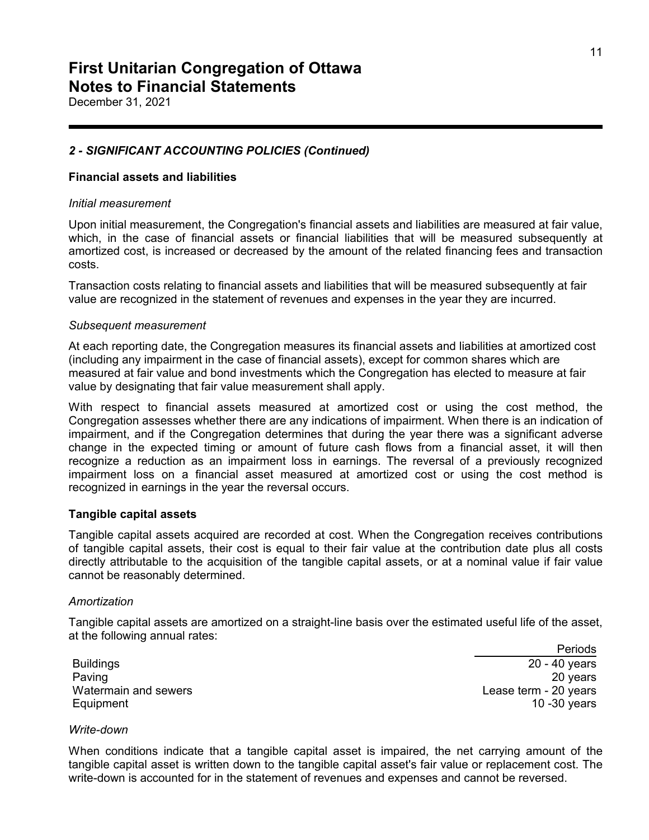December 31, 2021

# *2 - SIGNIFICANT ACCOUNTING POLICIES (Continued)*

### **Financial assets and liabilities**

#### *Initial measurement*

Upon initial measurement, the Congregation's financial assets and liabilities are measured at fair value, which, in the case of financial assets or financial liabilities that will be measured subsequently at amortized cost, is increased or decreased by the amount of the related financing fees and transaction costs.

Transaction costs relating to financial assets and liabilities that will be measured subsequently at fair value are recognized in the statement of revenues and expenses in the year they are incurred.

#### *Subsequent measurement*

At each reporting date, the Congregation measures its financial assets and liabilities at amortized cost (including any impairment in the case of financial assets), except for common shares which are measured at fair value and bond investments which the Congregation has elected to measure at fair value by designating that fair value measurement shall apply.

With respect to financial assets measured at amortized cost or using the cost method, the Congregation assesses whether there are any indications of impairment. When there is an indication of impairment, and if the Congregation determines that during the year there was a significant adverse change in the expected timing or amount of future cash flows from a financial asset, it will then recognize a reduction as an impairment loss in earnings. The reversal of a previously recognized impairment loss on a financial asset measured at amortized cost or using the cost method is recognized in earnings in the year the reversal occurs.

# **Tangible capital assets**

Tangible capital assets acquired are recorded at cost. When the Congregation receives contributions of tangible capital assets, their cost is equal to their fair value at the contribution date plus all costs directly attributable to the acquisition of the tangible capital assets, or at a nominal value if fair value cannot be reasonably determined.

#### *Amortization*

Tangible capital assets are amortized on a straight-line basis over the estimated useful life of the asset, at the following annual rates:

Buildings 20 - 40 years Paving 20 years Watermain and sewers **Lease term - 20 years** Lease term - 20 years Equipment 10 -30 years 10 -30 years 10 -30 years 10 -30 years 10 -30 years 10 -30 years 10 -30 years 10 -30 years 10 -30 years 10 -30 years 10 -30 years 10 -30 years 10 -30 years 10 -30 years 10 -30 years 10 -30 years 10 -

Periods

#### *Write-down*

When conditions indicate that a tangible capital asset is impaired, the net carrying amount of the tangible capital asset is written down to the tangible capital asset's fair value or replacement cost. The write-down is accounted for in the statement of revenues and expenses and cannot be reversed.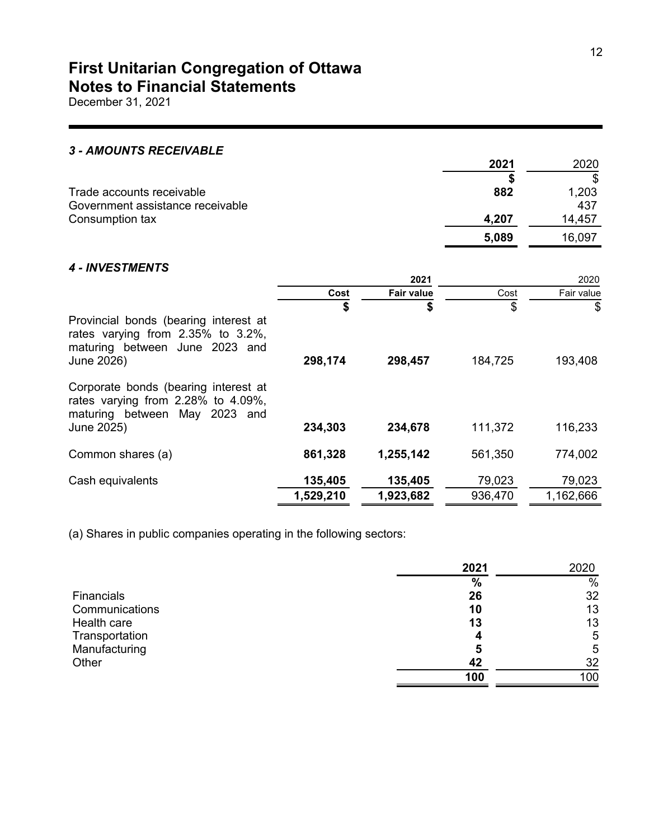December 31, 2021

| <b>3 - AMOUNTS RECEIVABLE</b>                                                                                              |           |                   |         |            |
|----------------------------------------------------------------------------------------------------------------------------|-----------|-------------------|---------|------------|
|                                                                                                                            |           |                   | 2021    | 2020       |
|                                                                                                                            |           |                   |         | \$         |
| Trade accounts receivable                                                                                                  |           |                   | 882     | 1,203      |
| Government assistance receivable                                                                                           |           |                   |         | 437        |
| Consumption tax                                                                                                            |           |                   | 4,207   | 14,457     |
|                                                                                                                            |           |                   | 5,089   | 16,097     |
| <b>4 - INVESTMENTS</b>                                                                                                     |           |                   |         |            |
|                                                                                                                            |           | 2021              |         | 2020       |
|                                                                                                                            | Cost      | <b>Fair value</b> | Cost    | Fair value |
|                                                                                                                            | \$        | \$                | \$      | \$         |
| Provincial bonds (bearing interest at<br>rates varying from 2.35% to 3.2%,<br>maturing between June 2023 and<br>June 2026) | 298,174   | 298,457           | 184,725 | 193,408    |
| Corporate bonds (bearing interest at<br>rates varying from 2.28% to 4.09%,<br>maturing between May 2023 and                |           |                   |         |            |
| June 2025)                                                                                                                 | 234,303   | 234,678           | 111,372 | 116,233    |
| Common shares (a)                                                                                                          | 861,328   | 1,255,142         | 561,350 | 774,002    |
| Cash equivalents                                                                                                           | 135,405   | 135,405           | 79,023  | 79,023     |
|                                                                                                                            | 1,529,210 | 1,923,682         | 936,470 | 1,162,666  |

(a) Shares in public companies operating in the following sectors:

|                | 2021 | 2020 |
|----------------|------|------|
|                | $\%$ | $\%$ |
| Financials     | 26   | 32   |
| Communications | 10   | 13   |
| Health care    | 13   | 13   |
| Transportation |      | 5    |
| Manufacturing  | э    | 5    |
| Other          | 42   | 32   |
|                | 100  | 100  |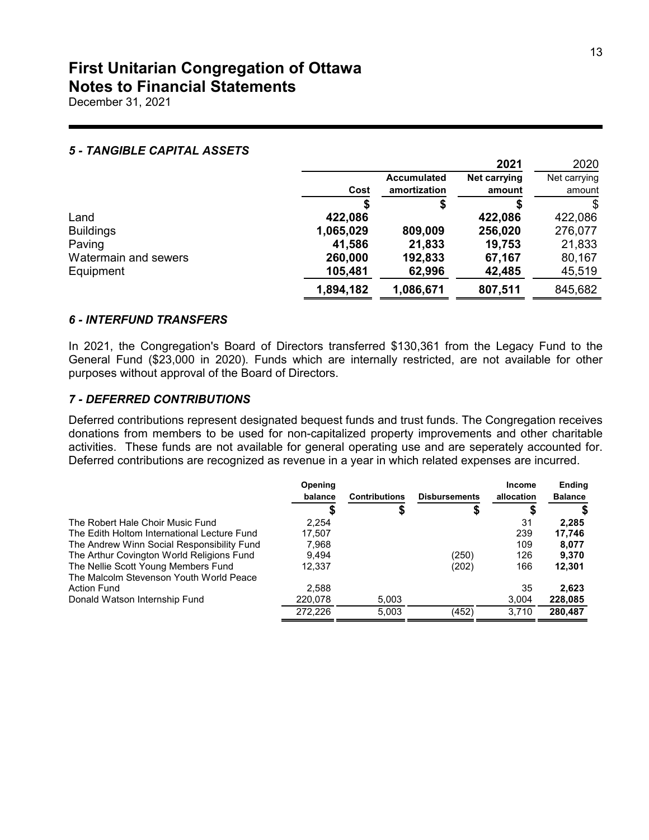December 31, 2021

# *5 - TANGIBLE CAPITAL ASSETS*

|                      |           |                    | 2021                | 2020         |
|----------------------|-----------|--------------------|---------------------|--------------|
|                      |           | <b>Accumulated</b> | <b>Net carrying</b> | Net carrying |
|                      | Cost      | amortization       | amount              | amount       |
|                      |           |                    |                     |              |
| Land                 | 422,086   |                    | 422,086             | 422,086      |
| <b>Buildings</b>     | 1,065,029 | 809,009            | 256,020             | 276,077      |
| Paving               | 41,586    | 21,833             | 19,753              | 21,833       |
| Watermain and sewers | 260,000   | 192,833            | 67,167              | 80,167       |
| Equipment            | 105,481   | 62,996             | 42,485              | 45,519       |
|                      | 1,894,182 | 1,086,671          | 807,511             | 845,682      |

# *6 - INTERFUND TRANSFERS*

In 2021, the Congregation's Board of Directors transferred \$130,361 from the Legacy Fund to the General Fund (\$23,000 in 2020). Funds which are internally restricted, are not available for other purposes without approval of the Board of Directors.

# *7 - DEFERRED CONTRIBUTIONS*

Deferred contributions represent designated bequest funds and trust funds. The Congregation receives donations from members to be used for non-capitalized property improvements and other charitable activities. These funds are not available for general operating use and are seperately accounted for. Deferred contributions are recognized as revenue in a year in which related expenses are incurred.

|                                                                                | Opening<br>balance | <b>Contributions</b> | <b>Disbursements</b> | <b>Income</b><br>allocation | <b>Ending</b><br><b>Balance</b> |
|--------------------------------------------------------------------------------|--------------------|----------------------|----------------------|-----------------------------|---------------------------------|
|                                                                                |                    |                      |                      |                             |                                 |
| The Robert Hale Choir Music Fund                                               | 2.254              |                      |                      | 31                          | 2,285                           |
| The Edith Holtom International Lecture Fund                                    | 17.507             |                      |                      | 239                         | 17,746                          |
| The Andrew Winn Social Responsibility Fund                                     | 7,968              |                      |                      | 109                         | 8,077                           |
| The Arthur Covington World Religions Fund                                      | 9.494              |                      | (250)                | 126                         | 9,370                           |
| The Nellie Scott Young Members Fund<br>The Malcolm Stevenson Youth World Peace | 12,337             |                      | (202)                | 166                         | 12,301                          |
| <b>Action Fund</b>                                                             | 2.588              |                      |                      | 35                          | 2.623                           |
| Donald Watson Internship Fund                                                  | 220.078            | 5,003                |                      | 3.004                       | 228,085                         |
|                                                                                | 272.226            | 5.003                | (452)                | 3.710                       | 280.487                         |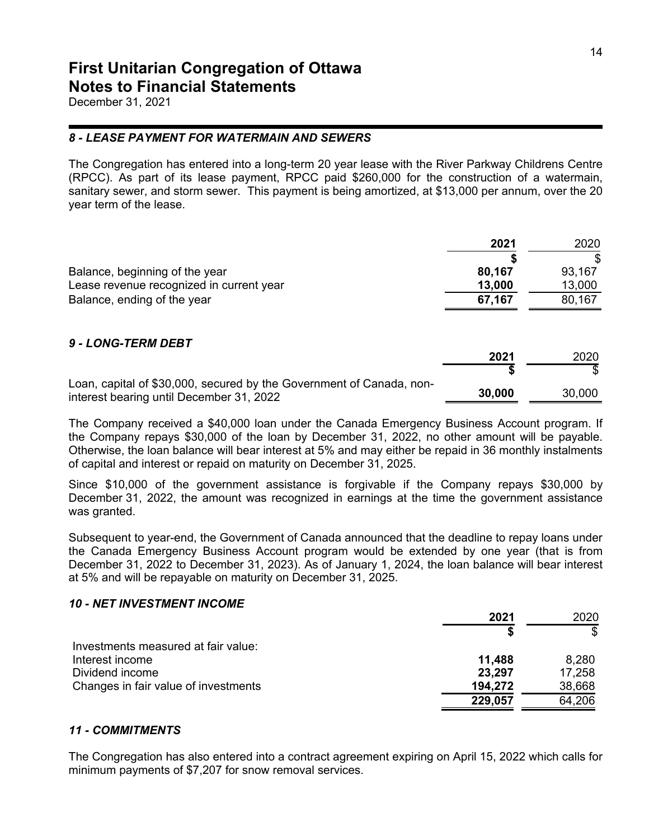December 31, 2021

# *8 - LEASE PAYMENT FOR WATERMAIN AND SEWERS*

The Congregation has entered into a long-term 20 year lease with the River Parkway Childrens Centre (RPCC). As part of its lease payment, RPCC paid \$260,000 for the construction of a watermain, sanitary sewer, and storm sewer. This payment is being amortized, at \$13,000 per annum, over the 20 year term of the lease.

|                                                                                                                  | 2021   | 2020   |
|------------------------------------------------------------------------------------------------------------------|--------|--------|
|                                                                                                                  |        |        |
| Balance, beginning of the year                                                                                   | 80,167 | 93,167 |
| Lease revenue recognized in current year                                                                         | 13,000 | 13,000 |
| Balance, ending of the year                                                                                      | 67,167 | 80,167 |
| <b>9 - LONG-TERM DEBT</b>                                                                                        |        |        |
|                                                                                                                  | 2021   | 2020   |
|                                                                                                                  |        | \$.    |
| Loan, capital of \$30,000, secured by the Government of Canada, non-<br>interest bearing until December 31, 2022 | 30,000 | 30,000 |

The Company received a \$40,000 loan under the Canada Emergency Business Account program. If the Company repays \$30,000 of the loan by December 31, 2022, no other amount will be payable. Otherwise, the loan balance will bear interest at 5% and may either be repaid in 36 monthly instalments of capital and interest or repaid on maturity on December 31, 2025.

Since \$10,000 of the government assistance is forgivable if the Company repays \$30,000 by December 31, 2022, the amount was recognized in earnings at the time the government assistance was granted.

Subsequent to year-end, the Government of Canada announced that the deadline to repay loans under the Canada Emergency Business Account program would be extended by one year (that is from December 31, 2022 to December 31, 2023). As of January 1, 2024, the loan balance will bear interest at 5% and will be repayable on maturity on December 31, 2025.

# *10 - NET INVESTMENT INCOME*

|                                      | 2021    | 2020   |
|--------------------------------------|---------|--------|
|                                      |         | \$     |
| Investments measured at fair value:  |         |        |
| Interest income                      | 11,488  | 8,280  |
| Dividend income                      | 23,297  | 17,258 |
| Changes in fair value of investments | 194,272 | 38,668 |
|                                      | 229,057 | 64,206 |

# *11 - COMMITMENTS*

The Congregation has also entered into a contract agreement expiring on April 15, 2022 which calls for minimum payments of \$7,207 for snow removal services.